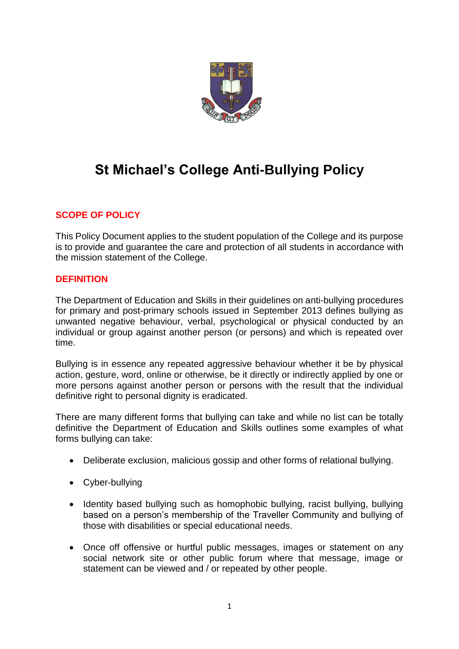

# **St Michael's College Anti-Bullying Policy**

# **SCOPE OF POLICY**

This Policy Document applies to the student population of the College and its purpose is to provide and guarantee the care and protection of all students in accordance with the mission statement of the College.

#### **DEFINITION**

The Department of Education and Skills in their guidelines on anti-bullying procedures for primary and post-primary schools issued in September 2013 defines bullying as unwanted negative behaviour, verbal, psychological or physical conducted by an individual or group against another person (or persons) and which is repeated over time.

Bullying is in essence any repeated aggressive behaviour whether it be by physical action, gesture, word, online or otherwise, be it directly or indirectly applied by one or more persons against another person or persons with the result that the individual definitive right to personal dignity is eradicated.

There are many different forms that bullying can take and while no list can be totally definitive the Department of Education and Skills outlines some examples of what forms bullying can take:

- Deliberate exclusion, malicious gossip and other forms of relational bullying.
- Cyber-bullying
- Identity based bullying such as homophobic bullying, racist bullying, bullying based on a person's membership of the Traveller Community and bullying of those with disabilities or special educational needs.
- Once off offensive or hurtful public messages, images or statement on any social network site or other public forum where that message, image or statement can be viewed and / or repeated by other people.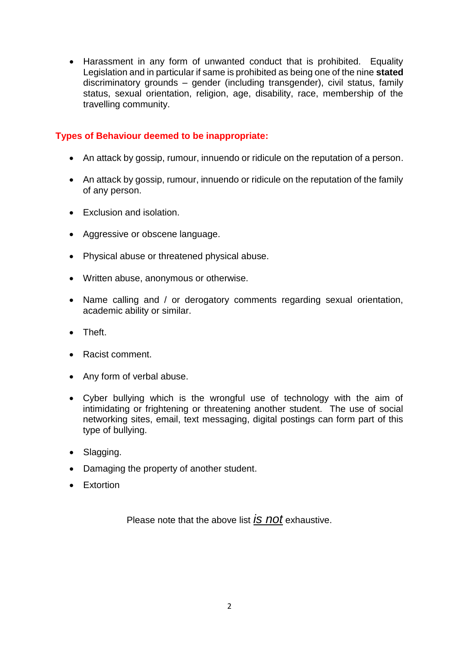Harassment in any form of unwanted conduct that is prohibited. Equality Legislation and in particular if same is prohibited as being one of the nine **stated**  discriminatory grounds – gender (including transgender), civil status, family status, sexual orientation, religion, age, disability, race, membership of the travelling community.

# **Types of Behaviour deemed to be inappropriate:**

- An attack by gossip, rumour, innuendo or ridicule on the reputation of a person.
- An attack by gossip, rumour, innuendo or ridicule on the reputation of the family of any person.
- Exclusion and isolation.
- Aggressive or obscene language.
- Physical abuse or threatened physical abuse.
- Written abuse, anonymous or otherwise.
- Name calling and / or derogatory comments regarding sexual orientation, academic ability or similar.
- Theft.
- Racist comment.
- Any form of verbal abuse.
- Cyber bullying which is the wrongful use of technology with the aim of intimidating or frightening or threatening another student. The use of social networking sites, email, text messaging, digital postings can form part of this type of bullying.
- Slagging.
- Damaging the property of another student.
- **•** Extortion

Please note that the above list *is not* exhaustive.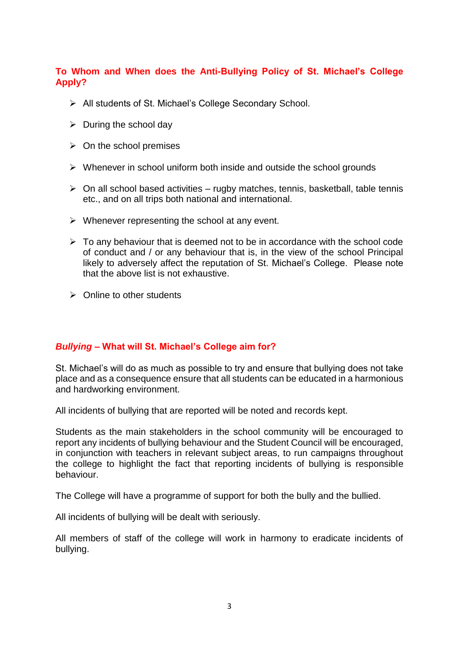# **To Whom and When does the Anti-Bullying Policy of St. Michael's College Apply?**

- All students of St. Michael's College Secondary School.
- $\triangleright$  During the school day
- $\triangleright$  On the school premises
- $\triangleright$  Whenever in school uniform both inside and outside the school grounds
- $\triangleright$  On all school based activities rugby matches, tennis, basketball, table tennis etc., and on all trips both national and international.
- $\triangleright$  Whenever representing the school at any event.
- $\triangleright$  To any behaviour that is deemed not to be in accordance with the school code of conduct and / or any behaviour that is, in the view of the school Principal likely to adversely affect the reputation of St. Michael's College. Please note that the above list is not exhaustive.
- $\triangleright$  Online to other students

#### *Bullying* **– What will St. Michael's College aim for?**

St. Michael's will do as much as possible to try and ensure that bullying does not take place and as a consequence ensure that all students can be educated in a harmonious and hardworking environment.

All incidents of bullying that are reported will be noted and records kept.

Students as the main stakeholders in the school community will be encouraged to report any incidents of bullying behaviour and the Student Council will be encouraged, in conjunction with teachers in relevant subject areas, to run campaigns throughout the college to highlight the fact that reporting incidents of bullying is responsible behaviour.

The College will have a programme of support for both the bully and the bullied.

All incidents of bullying will be dealt with seriously.

All members of staff of the college will work in harmony to eradicate incidents of bullying.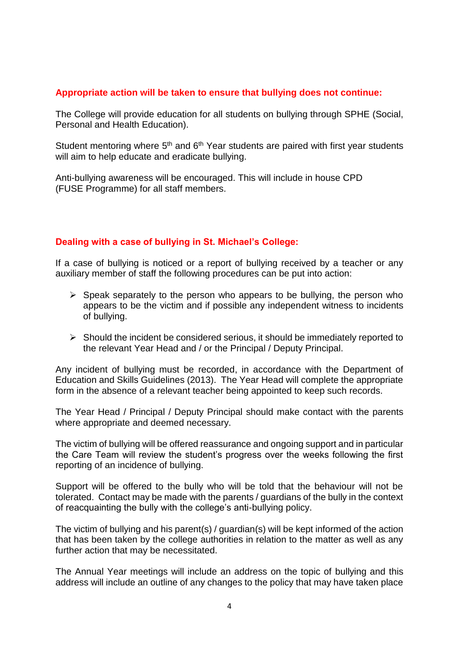#### **Appropriate action will be taken to ensure that bullying does not continue:**

The College will provide education for all students on bullying through SPHE (Social, Personal and Health Education).

Student mentoring where 5<sup>th</sup> and 6<sup>th</sup> Year students are paired with first year students will aim to help educate and eradicate bullying.

Anti-bullying awareness will be encouraged. This will include in house CPD (FUSE Programme) for all staff members.

# **Dealing with a case of bullying in St. Michael's College:**

If a case of bullying is noticed or a report of bullying received by a teacher or any auxiliary member of staff the following procedures can be put into action:

- $\triangleright$  Speak separately to the person who appears to be bullying, the person who appears to be the victim and if possible any independent witness to incidents of bullying.
- $\triangleright$  Should the incident be considered serious, it should be immediately reported to the relevant Year Head and / or the Principal / Deputy Principal.

Any incident of bullying must be recorded, in accordance with the Department of Education and Skills Guidelines (2013). The Year Head will complete the appropriate form in the absence of a relevant teacher being appointed to keep such records.

The Year Head / Principal / Deputy Principal should make contact with the parents where appropriate and deemed necessary.

The victim of bullying will be offered reassurance and ongoing support and in particular the Care Team will review the student's progress over the weeks following the first reporting of an incidence of bullying.

Support will be offered to the bully who will be told that the behaviour will not be tolerated. Contact may be made with the parents / guardians of the bully in the context of reacquainting the bully with the college's anti-bullying policy.

The victim of bullying and his parent(s) / guardian(s) will be kept informed of the action that has been taken by the college authorities in relation to the matter as well as any further action that may be necessitated.

The Annual Year meetings will include an address on the topic of bullying and this address will include an outline of any changes to the policy that may have taken place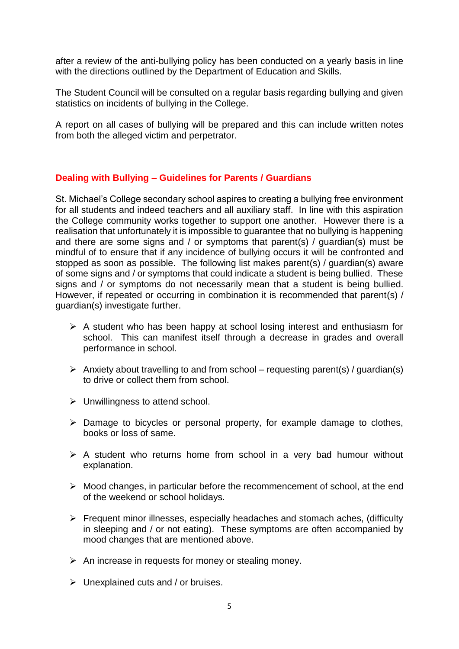after a review of the anti-bullying policy has been conducted on a yearly basis in line with the directions outlined by the Department of Education and Skills.

The Student Council will be consulted on a regular basis regarding bullying and given statistics on incidents of bullying in the College.

A report on all cases of bullying will be prepared and this can include written notes from both the alleged victim and perpetrator.

# **Dealing with Bullying – Guidelines for Parents / Guardians**

St. Michael's College secondary school aspires to creating a bullying free environment for all students and indeed teachers and all auxiliary staff. In line with this aspiration the College community works together to support one another. However there is a realisation that unfortunately it is impossible to guarantee that no bullying is happening and there are some signs and / or symptoms that parent(s) / guardian(s) must be mindful of to ensure that if any incidence of bullying occurs it will be confronted and stopped as soon as possible. The following list makes parent(s) / guardian(s) aware of some signs and / or symptoms that could indicate a student is being bullied. These signs and / or symptoms do not necessarily mean that a student is being bullied. However, if repeated or occurring in combination it is recommended that parent(s) / guardian(s) investigate further.

- $\triangleright$  A student who has been happy at school losing interest and enthusiasm for school. This can manifest itself through a decrease in grades and overall performance in school.
- Anxiety about travelling to and from school requesting parent(s) / quardian(s) to drive or collect them from school.
- $\triangleright$  Unwillingness to attend school.
- $\triangleright$  Damage to bicycles or personal property, for example damage to clothes, books or loss of same.
- $\triangleright$  A student who returns home from school in a very bad humour without explanation.
- $\triangleright$  Mood changes, in particular before the recommencement of school, at the end of the weekend or school holidays.
- $\triangleright$  Frequent minor illnesses, especially headaches and stomach aches, (difficulty in sleeping and / or not eating). These symptoms are often accompanied by mood changes that are mentioned above.
- $\triangleright$  An increase in requests for money or stealing money.
- $\triangleright$  Unexplained cuts and / or bruises.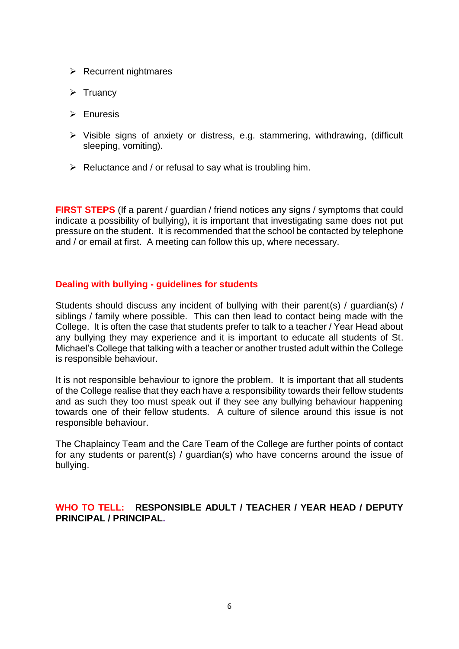- $\triangleright$  Recurrent nightmares
- $\triangleright$  Truancy
- $\triangleright$  Enuresis
- $\triangleright$  Visible signs of anxiety or distress, e.g. stammering, withdrawing, (difficult sleeping, vomiting).
- $\triangleright$  Reluctance and / or refusal to say what is troubling him.

**FIRST STEPS** (If a parent / guardian / friend notices any signs / symptoms that could indicate a possibility of bullying), it is important that investigating same does not put pressure on the student. It is recommended that the school be contacted by telephone and / or email at first. A meeting can follow this up, where necessary.

#### **Dealing with bullying - guidelines for students**

Students should discuss any incident of bullying with their parent(s) / guardian(s) / siblings / family where possible. This can then lead to contact being made with the College. It is often the case that students prefer to talk to a teacher / Year Head about any bullying they may experience and it is important to educate all students of St. Michael's College that talking with a teacher or another trusted adult within the College is responsible behaviour.

It is not responsible behaviour to ignore the problem. It is important that all students of the College realise that they each have a responsibility towards their fellow students and as such they too must speak out if they see any bullying behaviour happening towards one of their fellow students. A culture of silence around this issue is not responsible behaviour.

The Chaplaincy Team and the Care Team of the College are further points of contact for any students or parent(s) / guardian(s) who have concerns around the issue of bullying.

**WHO TO TELL: RESPONSIBLE ADULT / TEACHER / YEAR HEAD / DEPUTY PRINCIPAL / PRINCIPAL.**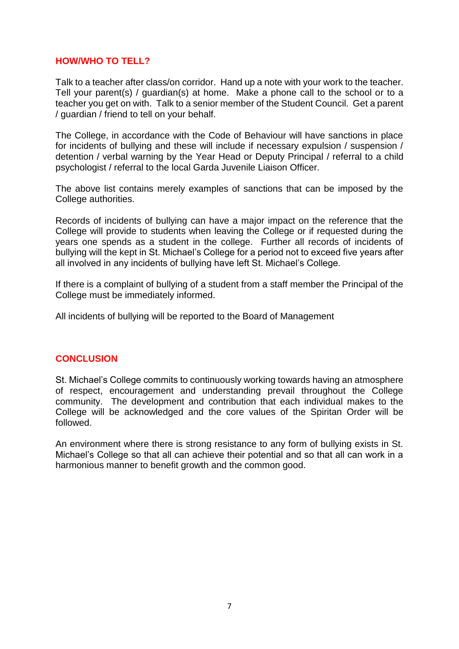# **HOW/WHO TO TELL?**

Talk to a teacher after class/on corridor. Hand up a note with your work to the teacher. Tell your parent(s) / guardian(s) at home. Make a phone call to the school or to a teacher you get on with. Talk to a senior member of the Student Council. Get a parent / guardian / friend to tell on your behalf.

The College, in accordance with the Code of Behaviour will have sanctions in place for incidents of bullying and these will include if necessary expulsion / suspension / detention / verbal warning by the Year Head or Deputy Principal / referral to a child psychologist / referral to the local Garda Juvenile Liaison Officer.

The above list contains merely examples of sanctions that can be imposed by the College authorities.

Records of incidents of bullying can have a major impact on the reference that the College will provide to students when leaving the College or if requested during the years one spends as a student in the college. Further all records of incidents of bullying will the kept in St. Michael's College for a period not to exceed five years after all involved in any incidents of bullying have left St. Michael's College.

If there is a complaint of bullying of a student from a staff member the Principal of the College must be immediately informed.

All incidents of bullying will be reported to the Board of Management

#### **CONCLUSION**

St. Michael's College commits to continuously working towards having an atmosphere of respect, encouragement and understanding prevail throughout the College community. The development and contribution that each individual makes to the College will be acknowledged and the core values of the Spiritan Order will be followed.

An environment where there is strong resistance to any form of bullying exists in St. Michael's College so that all can achieve their potential and so that all can work in a harmonious manner to benefit growth and the common good.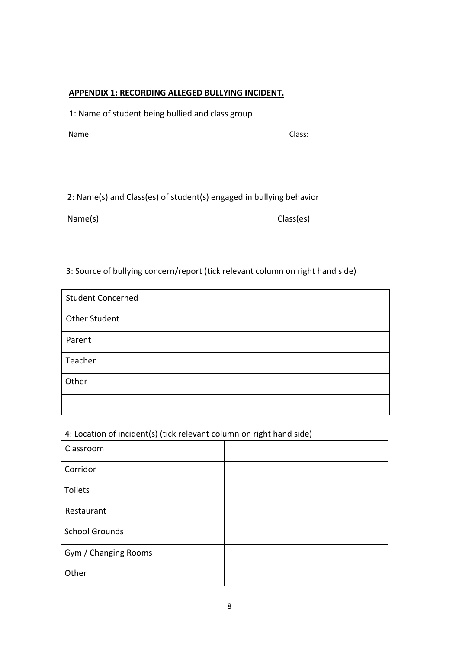#### **APPENDIX 1: RECORDING ALLEGED BULLYING INCIDENT.**

1: Name of student being bullied and class group

Name: Class:

2: Name(s) and Class(es) of student(s) engaged in bullying behavior

Name(s) Class(es)

# 3: Source of bullying concern/report (tick relevant column on right hand side)

| <b>Student Concerned</b> |  |
|--------------------------|--|
| <b>Other Student</b>     |  |
| Parent                   |  |
| Teacher                  |  |
| Other                    |  |
|                          |  |

#### 4: Location of incident(s) (tick relevant column on right hand side)

| Classroom             |  |
|-----------------------|--|
| Corridor              |  |
| Toilets               |  |
| Restaurant            |  |
| <b>School Grounds</b> |  |
| Gym / Changing Rooms  |  |
| Other                 |  |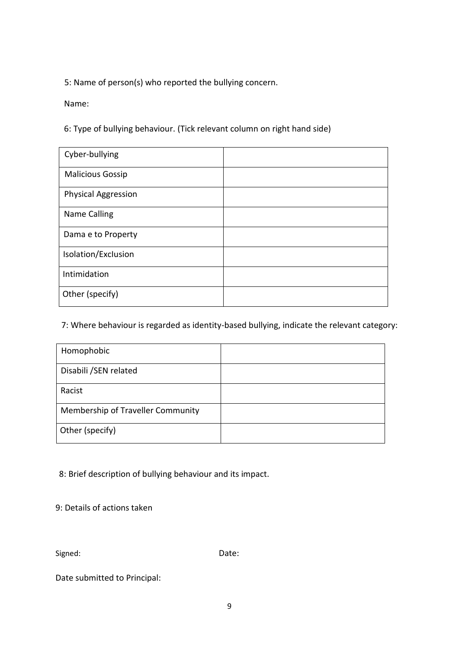5: Name of person(s) who reported the bullying concern.

Name:

6: Type of bullying behaviour. (Tick relevant column on right hand side)

| Cyber-bullying             |  |
|----------------------------|--|
| <b>Malicious Gossip</b>    |  |
| <b>Physical Aggression</b> |  |
| <b>Name Calling</b>        |  |
| Dama e to Property         |  |
| Isolation/Exclusion        |  |
| Intimidation               |  |
| Other (specify)            |  |

7: Where behaviour is regarded as identity-based bullying, indicate the relevant category:

| Homophobic                        |  |
|-----------------------------------|--|
| Disabili / SEN related            |  |
| Racist                            |  |
| Membership of Traveller Community |  |
| Other (specify)                   |  |

8: Brief description of bullying behaviour and its impact.

9: Details of actions taken

Signed: Date:

Date submitted to Principal: